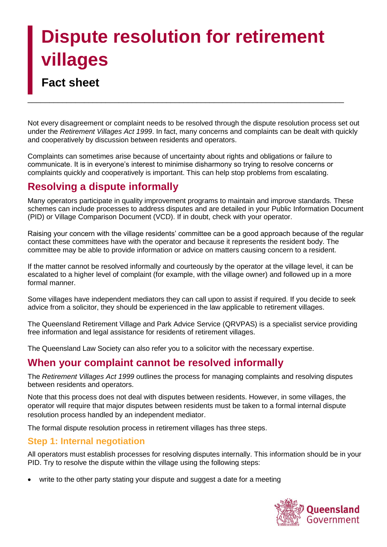# **Dispute resolution for retirement villages**

\_\_\_\_\_\_\_\_\_\_\_\_\_\_\_\_\_\_\_\_\_\_\_\_\_\_\_\_\_\_\_\_\_\_\_\_\_\_\_\_\_\_\_\_\_\_\_\_\_\_\_\_\_\_\_\_\_\_\_\_\_\_\_\_\_\_\_\_\_\_\_\_\_

## **Fact sheet**

Not every disagreement or complaint needs to be resolved through the dispute resolution process set out under the *Retirement Villages Act 1999*. In fact, many concerns and complaints can be dealt with quickly and cooperatively by discussion between residents and operators.

Complaints can sometimes arise because of uncertainty about rights and obligations or failure to communicate. It is in everyone's interest to minimise disharmony so trying to resolve concerns or complaints quickly and cooperatively is important. This can help stop problems from escalating.

## **Resolving a dispute informally**

Many operators participate in quality improvement programs to maintain and improve standards. These schemes can include processes to address disputes and are detailed in your Public Information Document (PID) or Village Comparison Document (VCD). If in doubt, check with your operator.

Raising your concern with the village residents' committee can be a good approach because of the regular contact these committees have with the operator and because it represents the resident body. The committee may be able to provide information or advice on matters causing concern to a resident.

If the matter cannot be resolved informally and courteously by the operator at the village level, it can be escalated to a higher level of complaint (for example, with the village owner) and followed up in a more formal manner.

Some villages have independent mediators they can call upon to assist if required. If you decide to seek advice from a solicitor, they should be experienced in the law applicable to retirement villages.

The Queensland Retirement Village and Park Advice Service (QRVPAS) is a specialist service providing free information and legal assistance for residents of retirement villages.

The Queensland Law Society can also refer you to a solicitor with the necessary expertise.

## **When your complaint cannot be resolved informally**

The *Retirement Villages Act 1999* outlines the process for managing complaints and resolving disputes between residents and operators.

Note that this process does not deal with disputes between residents. However, in some villages, the operator will require that major disputes between residents must be taken to a formal internal dispute resolution process handled by an independent mediator.

The formal dispute resolution process in retirement villages has three steps.

## **Step 1: Internal negotiation**

All operators must establish processes for resolving disputes internally. This information should be in your PID. Try to resolve the dispute within the village using the following steps:

write to the other party stating your dispute and suggest a date for a meeting

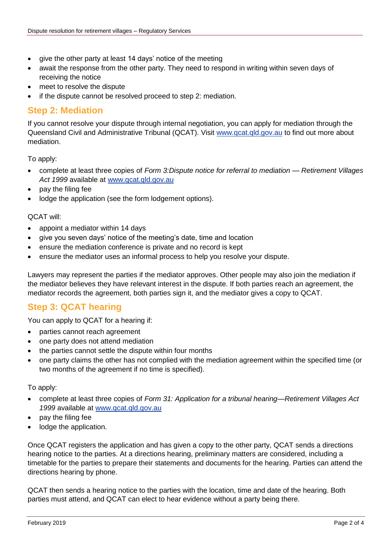- give the other party at least 14 days' notice of the meeting
- await the response from the other party. They need to respond in writing within seven days of receiving the notice
- meet to resolve the dispute
- if the dispute cannot be resolved proceed to step 2: mediation.

## **Step 2: Mediation**

If you cannot resolve your dispute through internal negotiation, you can apply for mediation through the Queensland Civil and Administrative Tribunal (QCAT). Visit [www.qcat.qld.gov.au](http://www.qcat.qld.gov.au/) to find out more about mediation.

To apply:

- complete at least three copies of *Form 3:Dispute notice for referral to mediation Retirement Villages*  Act 1999 available at [www.qcat.qld.gov.au](http://www.qcat.qld.gov.au/)
- pay the filing fee
- lodge the application (see the form lodgement options).

### QCAT will:

- appoint a mediator within 14 days
- give you seven days' notice of the meeting's date, time and location
- ensure the mediation conference is private and no record is kept
- ensure the mediator uses an informal process to help you resolve your dispute.

Lawyers may represent the parties if the mediator approves. Other people may also join the mediation if the mediator believes they have relevant interest in the dispute. If both parties reach an agreement, the mediator records the agreement, both parties sign it, and the mediator gives a copy to QCAT.

## **Step 3: QCAT hearing**

You can apply to QCAT for a hearing if:

- parties cannot reach agreement
- one party does not attend mediation
- the parties cannot settle the dispute within four months
- one party claims the other has not complied with the mediation agreement within the specified time (or two months of the agreement if no time is specified).

To apply:

- complete at least three copies of *Form 31: Application for a tribunal hearing*—*Retirement Villages Act*  1999 available at [www.qcat.qld.gov.au](http://www.qcat.qld.gov.au/)
- pay the filing fee
- lodge the application.

Once QCAT registers the application and has given a copy to the other party, QCAT sends a directions hearing notice to the parties. At a directions hearing, preliminary matters are considered, including a timetable for the parties to prepare their statements and documents for the hearing. Parties can attend the directions hearing by phone.

QCAT then sends a hearing notice to the parties with the location, time and date of the hearing. Both parties must attend, and QCAT can elect to hear evidence without a party being there.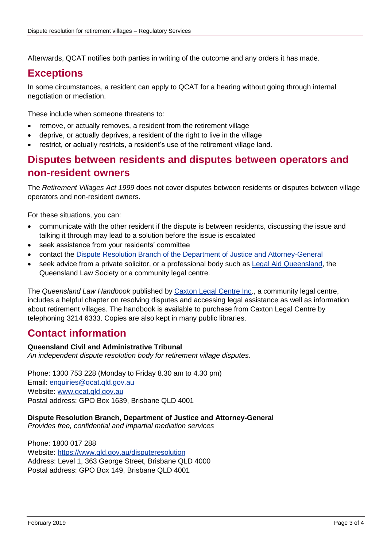Afterwards, QCAT notifies both parties in writing of the outcome and any orders it has made.

## **Exceptions**

In some circumstances, a resident can apply to QCAT for a hearing without going through internal negotiation or mediation.

These include when someone threatens to:

- remove, or actually removes, a resident from the retirement village
- deprive, or actually deprives, a resident of the right to live in the village
- restrict, or actually restricts, a resident's use of the retirement village land.

## **Disputes between residents and disputes between operators and non-resident owners**

The *Retirement Villages Act 1999* does not cover disputes between residents or disputes between village operators and non-resident owners.

For these situations, you can:

- communicate with the other resident if the dispute is between residents, discussing the issue and talking it through may lead to a solution before the issue is escalated
- seek assistance from your residents' committee
- contact the [Dispute Resolution Branch of the Department of Justice and Attorney-General](https://www.qld.gov.au/law/legal-mediation-and-justice-of-the-peace/settling-disputes-out-of-court/dispute-resolution-centres)
- seek advice from a private solicitor, or a professional body such as [Legal Aid Queensland,](http://www.legalaid.qld.gov.au/Home) the Queensland Law Society or a community legal centre.

The *Queensland Law Handbook* published by [Caxton Legal Centre Inc.](https://caxton.org.au/), a community legal centre, includes a helpful chapter on resolving disputes and accessing legal assistance as well as information about retirement villages. The handbook is available to purchase from Caxton Legal Centre by telephoning 3214 6333. Copies are also kept in many public libraries.

## **Contact information**

### **Queensland Civil and Administrative Tribunal**

*An independent dispute resolution body for retirement village disputes.*

Phone: 1300 753 228 (Monday to Friday 8.30 am to 4.30 pm) Email: [enquiries@qcat.qld.gov.au](mailto:enquiries@qcat.qld.gov.au) Website: [www.qcat.qld.gov.au](http://www.qcat.qld.gov.au/) Postal address: GPO Box 1639, Brisbane QLD 4001

#### **Dispute Resolution Branch, Department of Justice and Attorney-General**

*Provides free, confidential and impartial mediation services* 

Phone: 1800 017 288 Website:<https://www.qld.gov.au/disputeresolution> Address: Level 1, 363 George Street, Brisbane QLD 4000 Postal address: GPO Box 149, Brisbane QLD 4001